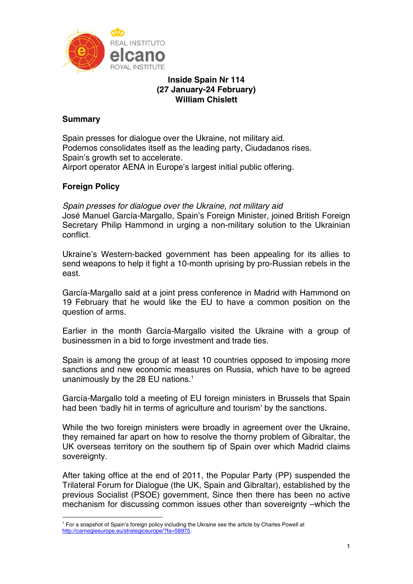

# **Inside Spain Nr 114 (27 January-24 February) William Chislett**

# **Summary**

Spain presses for dialogue over the Ukraine, not military aid. Podemos consolidates itself as the leading party, Ciudadanos rises. Spain's growth set to accelerate. Airport operator AENA in Europe's largest initial public offering.

# **Foreign Policy**

1

*Spain presses for dialogue over the Ukraine, not military aid*  José Manuel García-Margallo, Spain's Foreign Minister, joined British Foreign Secretary Philip Hammond in urging a non-military solution to the Ukrainian conflict.

Ukraine's Western-backed government has been appealing for its allies to send weapons to help it fight a 10-month uprising by pro-Russian rebels in the east.

García-Margallo said at a joint press conference in Madrid with Hammond on 19 February that he would like the EU to have a common position on the question of arms.

Earlier in the month García-Margallo visited the Ukraine with a group of businessmen in a bid to forge investment and trade ties.

Spain is among the group of at least 10 countries opposed to imposing more sanctions and new economic measures on Russia, which have to be agreed unanimously by the 28 EU nations.<sup>1</sup>

García-Margallo told a meeting of EU foreign ministers in Brussels that Spain had been 'badly hit in terms of agriculture and tourism' by the sanctions.

While the two foreign ministers were broadly in agreement over the Ukraine, they remained far apart on how to resolve the thorny problem of Gibraltar, the UK overseas territory on the southern tip of Spain over which Madrid claims sovereignty.

After taking office at the end of 2011, the Popular Party (PP) suspended the Trilateral Forum for Dialogue (the UK, Spain and Gibraltar), established by the previous Socialist (PSOE) government, Since then there has been no active mechanism for discussing common issues other than sovereignty –which the

<sup>1</sup> For a snapshot of Spain's foreign policy including the Ukraine see the article by Charles Powell at http://carnegieeurope.eu/strategiceurope/?fa=58975.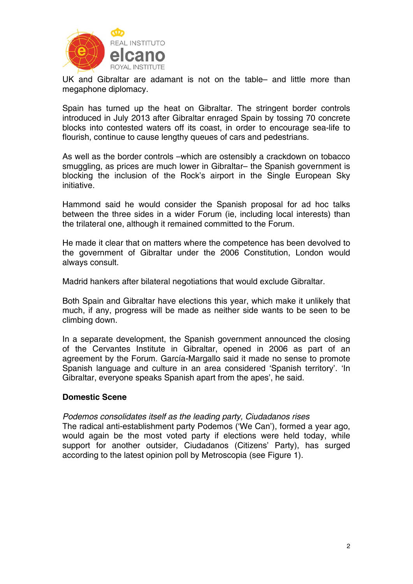

UK and Gibraltar are adamant is not on the table– and little more than megaphone diplomacy.

Spain has turned up the heat on Gibraltar. The stringent border controls introduced in July 2013 after Gibraltar enraged Spain by tossing 70 concrete blocks into contested waters off its coast, in order to encourage sea-life to flourish, continue to cause lengthy queues of cars and pedestrians.

As well as the border controls –which are ostensibly a crackdown on tobacco smuggling, as prices are much lower in Gibraltar– the Spanish government is blocking the inclusion of the Rock's airport in the Single European Sky initiative.

Hammond said he would consider the Spanish proposal for ad hoc talks between the three sides in a wider Forum (ie, including local interests) than the trilateral one, although it remained committed to the Forum.

He made it clear that on matters where the competence has been devolved to the government of Gibraltar under the 2006 Constitution, London would always consult.

Madrid hankers after bilateral negotiations that would exclude Gibraltar.

Both Spain and Gibraltar have elections this year, which make it unlikely that much, if any, progress will be made as neither side wants to be seen to be climbing down.

In a separate development, the Spanish government announced the closing of the Cervantes Institute in Gibraltar, opened in 2006 as part of an agreement by the Forum. García-Margallo said it made no sense to promote Spanish language and culture in an area considered 'Spanish territory'. 'In Gibraltar, everyone speaks Spanish apart from the apes', he said.

## **Domestic Scene**

## *Podemos consolidates itself as the leading party, Ciudadanos rises*

The radical anti-establishment party Podemos ('We Can'), formed a year ago, would again be the most voted party if elections were held today, while support for another outsider, Ciudadanos (Citizens' Party), has surged according to the latest opinion poll by Metroscopia (see Figure 1).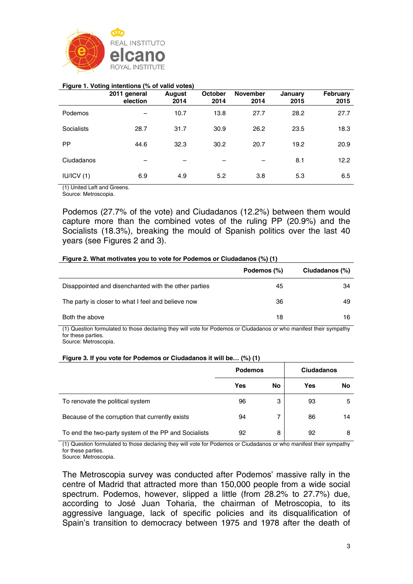

#### **Figure 1. Voting intentions (% of valid votes)**

|            | 2011 general<br>election | August<br>2014 | <b>October</b><br>2014 | <b>November</b><br>2014 | January<br>2015 | February<br>2015 |
|------------|--------------------------|----------------|------------------------|-------------------------|-----------------|------------------|
| Podemos    |                          | 10.7           | 13.8                   | 27.7                    | 28.2            | 27.7             |
| Socialists | 28.7                     | 31.7           | 30.9                   | 26.2                    | 23.5            | 18.3             |
| PP.        | 44.6                     | 32.3           | 30.2                   | 20.7                    | 19.2            | 20.9             |
| Ciudadanos |                          |                |                        |                         | 8.1             | 12.2             |
| IUVICV(1)  | 6.9                      | 4.9            | 5.2                    | 3.8                     | 5.3             | 6.5              |

(1) United Left and Greens.

Source: Metroscopia.

Podemos (27.7% of the vote) and Ciudadanos (12.2%) between them would capture more than the combined votes of the ruling PP (20.9%) and the Socialists (18.3%), breaking the mould of Spanish politics over the last 40 years (see Figures 2 and 3).

#### **Figure 2. What motivates you to vote for Podemos or Ciudadanos (%) (1)**

|                                                      | Podemos (%) | Ciudadanos (%) |
|------------------------------------------------------|-------------|----------------|
| Disappointed and disenchanted with the other parties | 45          | 34             |
| The party is closer to what I feel and believe now   | 36          | 49             |
| Both the above                                       | 18          | 16             |

(1) Question formulated to those declaring they will vote for Podemos or Ciudadanos or who manifest their sympathy for these parties.

Source: Metroscopia.

#### **Figure 3. If you vote for Podemos or Ciudadanos it will be… (%) (1)**

|                                                      | <b>Podemos</b> |    | <b>Ciudadanos</b> |    |
|------------------------------------------------------|----------------|----|-------------------|----|
|                                                      | Yes            | No | Yes               | No |
| To renovate the political system                     | 96             | 3  | 93                | 5  |
| Because of the corruption that currently exists      | 94             | 7  | 86                | 14 |
| To end the two-party system of the PP and Socialists | 92             | 8  | 92                | 8  |

(1) Question formulated to those declaring they will vote for Podemos or Ciudadanos or who manifest their sympathy for these parties.

Source: Metroscopia.

The Metroscopia survey was conducted after Podemos' massive rally in the centre of Madrid that attracted more than 150,000 people from a wide social spectrum. Podemos, however, slipped a little (from 28.2% to 27.7%) due, according to José Juan Toharia, the chairman of Metroscopia, to its aggressive language, lack of specific policies and its disqualification of Spain's transition to democracy between 1975 and 1978 after the death of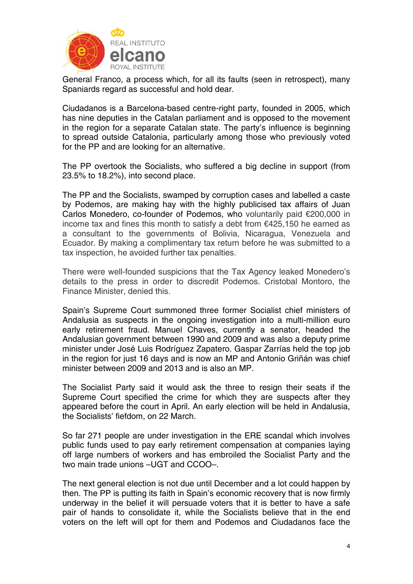

General Franco, a process which, for all its faults (seen in retrospect), many Spaniards regard as successful and hold dear.

Ciudadanos is a Barcelona-based centre-right party, founded in 2005, which has nine deputies in the Catalan parliament and is opposed to the movement in the region for a separate Catalan state. The party's influence is beginning to spread outside Catalonia, particularly among those who previously voted for the PP and are looking for an alternative.

The PP overtook the Socialists, who suffered a big decline in support (from 23.5% to 18.2%), into second place.

The PP and the Socialists, swamped by corruption cases and labelled a caste by Podemos, are making hay with the highly publicised tax affairs of Juan Carlos Monedero, co-founder of Podemos, who voluntarily paid €200,000 in income tax and fines this month to satisfy a debt from €425,150 he earned as a consultant to the governments of Bolivia, Nicaragua, Venezuela and Ecuador. By making a complimentary tax return before he was submitted to a tax inspection, he avoided further tax penalties.

There were well-founded suspicions that the Tax Agency leaked Monedero's details to the press in order to discredit Podemos. Cristobal Montoro, the Finance Minister, denied this.

Spain's Supreme Court summoned three former Socialist chief ministers of Andalusia as suspects in the ongoing investigation into a multi-million euro early retirement fraud. Manuel Chaves, currently a senator, headed the Andalusian government between 1990 and 2009 and was also a deputy prime minister under José Luis Rodríguez Zapatero. Gaspar Zarrías held the top job in the region for just 16 days and is now an MP and Antonio Griñán was chief minister between 2009 and 2013 and is also an MP.

The Socialist Party said it would ask the three to resign their seats if the Supreme Court specified the crime for which they are suspects after they appeared before the court in April. An early election will be held in Andalusia, the Socialists' fiefdom, on 22 March.

So far 271 people are under investigation in the ERE scandal which involves public funds used to pay early retirement compensation at companies laying off large numbers of workers and has embroiled the Socialist Party and the two main trade unions –UGT and CCOO–.

The next general election is not due until December and a lot could happen by then. The PP is putting its faith in Spain's economic recovery that is now firmly underway in the belief it will persuade voters that it is better to have a safe pair of hands to consolidate it, while the Socialists believe that in the end voters on the left will opt for them and Podemos and Ciudadanos face the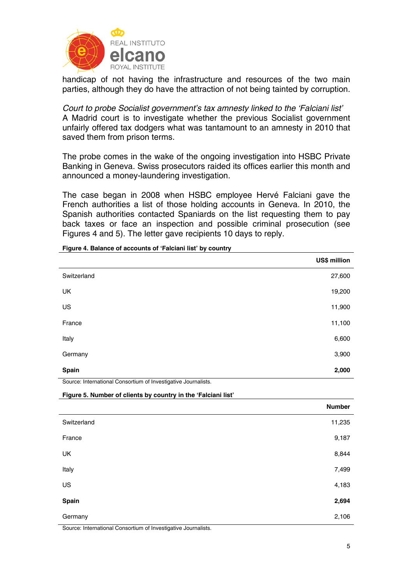

handicap of not having the infrastructure and resources of the two main parties, although they do have the attraction of not being tainted by corruption.

*Court to probe Socialist government's tax amnesty linked to the 'Falciani list'*  A Madrid court is to investigate whether the previous Socialist government unfairly offered tax dodgers what was tantamount to an amnesty in 2010 that saved them from prison terms.

The probe comes in the wake of the ongoing investigation into HSBC Private Banking in Geneva. Swiss prosecutors raided its offices earlier this month and announced a money-laundering investigation.

The case began in 2008 when HSBC employee Hervé Falciani gave the French authorities a list of those holding accounts in Geneva. In 2010, the Spanish authorities contacted Spaniards on the list requesting them to pay back taxes or face an inspection and possible criminal prosecution (see Figures 4 and 5). The letter gave recipients 10 days to reply.

|                                                                | US\$ million  |
|----------------------------------------------------------------|---------------|
| Switzerland                                                    | 27,600        |
| <b>UK</b>                                                      | 19,200        |
| US                                                             | 11,900        |
| France                                                         | 11,100        |
| Italy                                                          | 6,600         |
| Germany                                                        | 3,900         |
| <b>Spain</b>                                                   | 2,000         |
| Source: International Consortium of Investigative Journalists. |               |
| Figure 5. Number of clients by country in the 'Falciani list'  |               |
|                                                                | <b>Number</b> |
| Switzerland                                                    | 11,235        |
| France                                                         | 9,187         |

**Figure 4. Balance of accounts of 'Falciani list' by country** 

UK  $\,$  8,844  $\,$ Italy 7,499 US  $4,183$ **Spain 2,694**  Germany 2,106 Source: International Consortium of Investigative Journalists.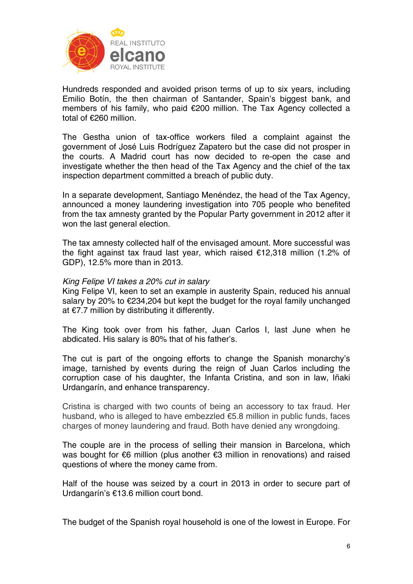

Hundreds responded and avoided prison terms of up to six years, including Emilio Botín, the then chairman of Santander, Spain's biggest bank, and members of his family, who paid €200 million. The Tax Agency collected a total of €260 million.

The Gestha union of tax-office workers filed a complaint against the government of José Luis Rodríguez Zapatero but the case did not prosper in the courts. A Madrid court has now decided to re-open the case and investigate whether the then head of the Tax Agency and the chief of the tax inspection department committed a breach of public duty.

In a separate development, Santiago Menéndez, the head of the Tax Agency, announced a money laundering investigation into 705 people who benefited from the tax amnesty granted by the Popular Party government in 2012 after it won the last general election.

The tax amnesty collected half of the envisaged amount. More successful was the fight against tax fraud last year, which raised €12,318 million (1.2% of GDP), 12.5% more than in 2013.

## *King Felipe VI takes a 20% cut in salary*

King Felipe VI, keen to set an example in austerity Spain, reduced his annual salary by 20% to €234,204 but kept the budget for the royal family unchanged at €7.7 million by distributing it differently.

The King took over from his father, Juan Carlos I, last June when he abdicated. His salary is 80% that of his father's.

The cut is part of the ongoing efforts to change the Spanish monarchy's image, tarnished by events during the reign of Juan Carlos including the corruption case of his daughter, the Infanta Cristina, and son in law, Iñaki Urdangarín, and enhance transparency.

Cristina is charged with two counts of being an accessory to tax fraud. Her husband, who is alleged to have embezzled €5.8 million in public funds, faces charges of money laundering and fraud. Both have denied any wrongdoing.

The couple are in the process of selling their mansion in Barcelona, which was bought for €6 million (plus another €3 million in renovations) and raised questions of where the money came from.

Half of the house was seized by a court in 2013 in order to secure part of Urdangarín's €13.6 million court bond.

The budget of the Spanish royal household is one of the lowest in Europe. For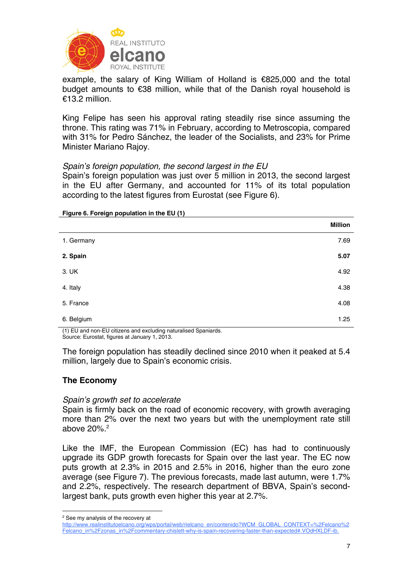

example, the salary of King William of Holland is €825,000 and the total budget amounts to €38 million, while that of the Danish royal household is €13.2 million.

King Felipe has seen his approval rating steadily rise since assuming the throne. This rating was 71% in February, according to Metroscopia, compared with 31% for Pedro Sánchez, the leader of the Socialists, and 23% for Prime Minister Mariano Rajoy.

## *Spain's foreign population, the second largest in the EU*

Spain's foreign population was just over 5 million in 2013, the second largest in the EU after Germany, and accounted for 11% of its total population according to the latest figures from Eurostat (see Figure 6).

|            | <b>Million</b> |
|------------|----------------|
| 1. Germany | 7.69           |
| 2. Spain   | 5.07           |
| 3. UK      | 4.92           |
| 4. Italy   | 4.38           |
| 5. France  | 4.08           |
| 6. Belgium | 1.25           |

#### **Figure 6. Foreign population in the EU (1)**

(1) EU and non-EU citizens and excluding naturalised Spaniards. Source: Eurostat, figures at January 1, 2013.

The foreign population has steadily declined since 2010 when it peaked at 5.4 million, largely due to Spain's economic crisis.

# **The Economy**

## *Spain's growth set to accelerate*

Spain is firmly back on the road of economic recovery, with growth averaging more than 2% over the next two years but with the unemployment rate still above 20%.2

Like the IMF, the European Commission (EC) has had to continuously upgrade its GDP growth forecasts for Spain over the last year. The EC now puts growth at 2.3% in 2015 and 2.5% in 2016, higher than the euro zone average (see Figure 7). The previous forecasts, made last autumn, were 1.7% and 2.2%, respectively. The research department of BBVA, Spain's secondlargest bank, puts growth even higher this year at 2.7%.

<sup>1</sup> <sup>2</sup> See my analysis of the recovery at

http://www.realinstitutoelcano.org/wps/portal/web/rielcano\_en/contenido?WCM\_GLOBAL\_CONTEXT=%2Felcano%2 Felcano\_in%2Fzonas\_in%2Fcommentary-chislett-why-is-spain-recovering-faster-than-expected#.VOdHXLDF-ib.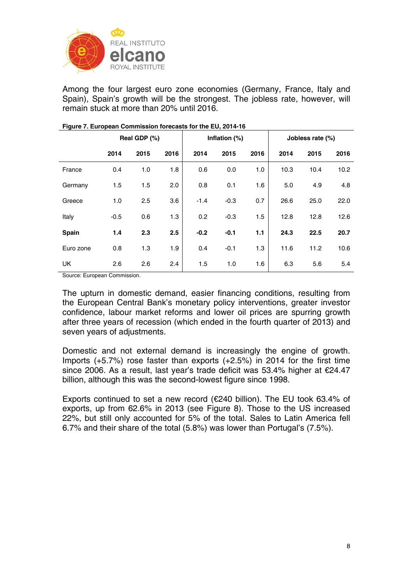

Among the four largest euro zone economies (Germany, France, Italy and Spain), Spain's growth will be the strongest. The jobless rate, however, will remain stuck at more than 20% until 2016.

|           |        | Real GDP (%) |      | Inflation (%) |        |      | Jobless rate (%) |      |      |
|-----------|--------|--------------|------|---------------|--------|------|------------------|------|------|
|           | 2014   | 2015         | 2016 | 2014          | 2015   | 2016 | 2014             | 2015 | 2016 |
| France    | 0.4    | 1.0          | 1.8  | 0.6           | 0.0    | 1.0  | 10.3             | 10.4 | 10.2 |
| Germany   | 1.5    | 1.5          | 2.0  | 0.8           | 0.1    | 1.6  | 5.0              | 4.9  | 4.8  |
| Greece    | 1.0    | 2.5          | 3.6  | $-1.4$        | $-0.3$ | 0.7  | 26.6             | 25.0 | 22.0 |
| Italy     | $-0.5$ | 0.6          | 1.3  | 0.2           | $-0.3$ | 1.5  | 12.8             | 12.8 | 12.6 |
| Spain     | 1.4    | 2.3          | 2.5  | $-0.2$        | $-0.1$ | 1.1  | 24.3             | 22.5 | 20.7 |
| Euro zone | 0.8    | 1.3          | 1.9  | 0.4           | $-0.1$ | 1.3  | 11.6             | 11.2 | 10.6 |
| <b>UK</b> | 2.6    | 2.6          | 2.4  | 1.5           | 1.0    | 1.6  | 6.3              | 5.6  | 5.4  |

#### **Figure 7. European Commission forecasts for the EU, 2014-16**

Source: European Commission.

The upturn in domestic demand, easier financing conditions, resulting from the European Central Bank's monetary policy interventions, greater investor confidence, labour market reforms and lower oil prices are spurring growth after three years of recession (which ended in the fourth quarter of 2013) and seven years of adjustments.

Domestic and not external demand is increasingly the engine of growth. Imports (+5.7%) rose faster than exports (+2.5%) in 2014 for the first time since 2006. As a result, last year's trade deficit was 53.4% higher at €24.47 billion, although this was the second-lowest figure since 1998.

Exports continued to set a new record (€240 billion). The EU took 63.4% of exports, up from 62.6% in 2013 (see Figure 8). Those to the US increased 22%, but still only accounted for 5% of the total. Sales to Latin America fell 6.7% and their share of the total (5.8%) was lower than Portugal's (7.5%).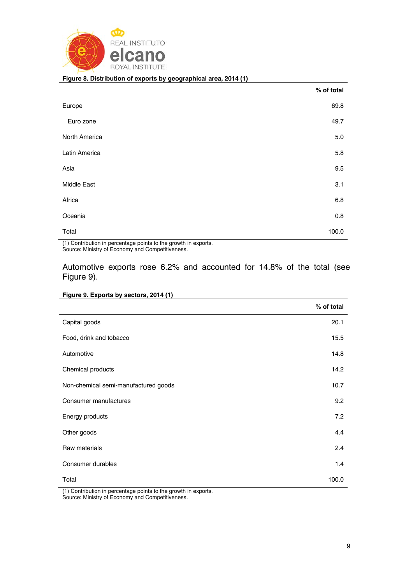

j.

#### **Figure 8. Distribution of exports by geographical area, 2014 (1)**

|                    | % of total |
|--------------------|------------|
| Europe             | 69.8       |
| Euro zone          | 49.7       |
| North America      | $5.0\,$    |
| Latin America      | 5.8        |
| Asia               | 9.5        |
| <b>Middle East</b> | 3.1        |
| Africa             | 6.8        |
| Oceania            | 0.8        |
| Total              | 100.0      |

(1) Contribution in percentage points to the growth in exports. Source: Ministry of Economy and Competitiveness.

# Automotive exports rose 6.2% and accounted for 14.8% of the total (see Figure 9).

|  |  | Figure 9. Exports by sectors, 2014 (1) |  |  |
|--|--|----------------------------------------|--|--|
|  |  |                                        |  |  |

|                                                                    | % of total |
|--------------------------------------------------------------------|------------|
| Capital goods                                                      | 20.1       |
| Food, drink and tobacco                                            | 15.5       |
| Automotive                                                         | 14.8       |
| Chemical products                                                  | 14.2       |
| Non-chemical semi-manufactured goods                               | 10.7       |
| Consumer manufactures                                              | 9.2        |
| Energy products                                                    | 7.2        |
| Other goods                                                        | 4.4        |
| Raw materials                                                      | 2.4        |
| Consumer durables                                                  | 1.4        |
| Total                                                              | 100.0      |
| $(4)$ Cantribution in norganizage points to the arough in overarly |            |

(1) Contribution in percentage points to the growth in exports. Source: Ministry of Economy and Competitiveness.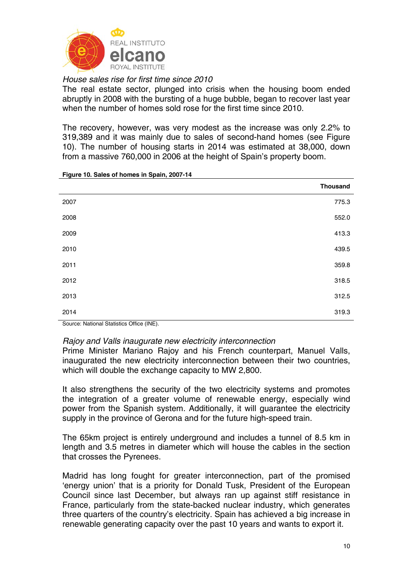

*House sales rise for first time since 2010* 

The real estate sector, plunged into crisis when the housing boom ended abruptly in 2008 with the bursting of a huge bubble, began to recover last year when the number of homes sold rose for the first time since 2010.

The recovery, however, was very modest as the increase was only 2.2% to 319,389 and it was mainly due to sales of second-hand homes (see Figure 10). The number of housing starts in 2014 was estimated at 38,000, down from a massive 760,000 in 2006 at the height of Spain's property boom.

|      | <b>Thousand</b> |
|------|-----------------|
| 2007 | 775.3           |
| 2008 | 552.0           |
| 2009 | 413.3           |
| 2010 | 439.5           |
| 2011 | 359.8           |
| 2012 | 318.5           |
| 2013 | 312.5           |
| 2014 | 319.3           |

**Figure 10. Sales of homes in Spain, 2007-14** 

Source: National Statistics Office (INE).

## *Rajoy and Valls inaugurate new electricity interconnection*

Prime Minister Mariano Rajoy and his French counterpart, Manuel Valls, inaugurated the new electricity interconnection between their two countries, which will double the exchange capacity to MW 2,800.

It also strengthens the security of the two electricity systems and promotes the integration of a greater volume of renewable energy, especially wind power from the Spanish system. Additionally, it will guarantee the electricity supply in the province of Gerona and for the future high-speed train.

The 65km project is entirely underground and includes a tunnel of 8.5 km in length and 3.5 metres in diameter which will house the cables in the section that crosses the Pyrenees.

Madrid has long fought for greater interconnection, part of the promised 'energy union' that is a priority for Donald Tusk, President of the European Council since last December, but always ran up against stiff resistance in France, particularly from the state-backed nuclear industry, which generates three quarters of the country's electricity. Spain has achieved a big increase in renewable generating capacity over the past 10 years and wants to export it.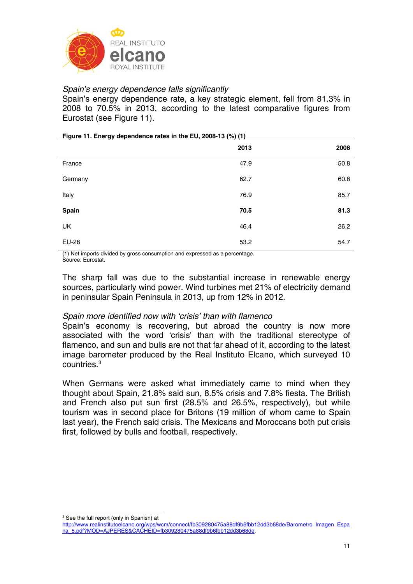

# *Spain's energy dependence falls significantly*

Spain's energy dependence rate, a key strategic element, fell from 81.3% in 2008 to 70.5% in 2013, according to the latest comparative figures from Eurostat (see Figure 11).

**Figure 11. Energy dependence rates in the EU, 2008-13 (%) (1)** 

|              | 2013 | 2008 |
|--------------|------|------|
| France       | 47.9 | 50.8 |
| Germany      | 62.7 | 60.8 |
| Italy        | 76.9 | 85.7 |
| Spain        | 70.5 | 81.3 |
| UK           | 46.4 | 26.2 |
| <b>EU-28</b> | 53.2 | 54.7 |

(1) Net imports divided by gross consumption and expressed as a percentage. Source: Eurostat.

The sharp fall was due to the substantial increase in renewable energy sources, particularly wind power. Wind turbines met 21% of electricity demand in peninsular Spain Peninsula in 2013, up from 12% in 2012.

## *Spain more identified now with 'crisis' than with flamenco*

Spain's economy is recovering, but abroad the country is now more associated with the word 'crisis' than with the traditional stereotype of flamenco, and sun and bulls are not that far ahead of it, according to the latest image barometer produced by the Real Instituto Elcano, which surveyed 10 countries.3

When Germans were asked what immediately came to mind when they thought about Spain, 21.8% said sun, 8.5% crisis and 7.8% fiesta. The British and French also put sun first (28.5% and 26.5%, respectively), but while tourism was in second place for Britons (19 million of whom came to Spain last year), the French said crisis. The Mexicans and Moroccans both put crisis first, followed by bulls and football, respectively.

1

<sup>&</sup>lt;sup>3</sup> See the full report (only in Spanish) at

http://www.realinstitutoelcano.org/wps/wcm/connect/fb309280475a88df9b6fbb12dd3b68de/Barometro\_Imagen\_Espa na\_5.pdf?MOD=AJPERES&CACHEID=fb309280475a88df9b6fbb12dd3b68de.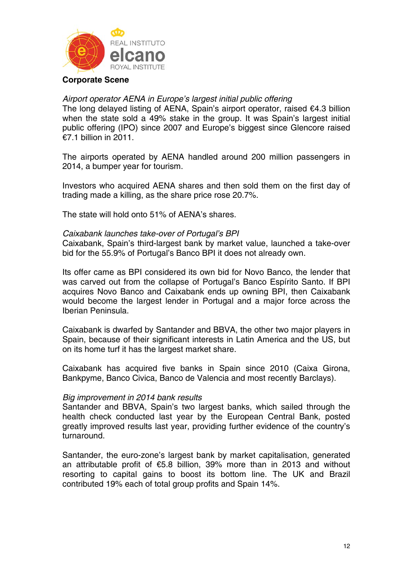

## **Corporate Scene**

## *Airport operator AENA in Europe's largest initial public offering*

The long delayed listing of AENA, Spain's airport operator, raised €4.3 billion when the state sold a 49% stake in the group. It was Spain's largest initial public offering (IPO) since 2007 and Europe's biggest since Glencore raised €7.1 billion in 2011.

The airports operated by AENA handled around 200 million passengers in 2014, a bumper year for tourism.

Investors who acquired AENA shares and then sold them on the first day of trading made a killing, as the share price rose 20.7%.

The state will hold onto 51% of AENA's shares.

#### *Caixabank launches take-over of Portugal's BPI*

Caixabank, Spain's third-largest bank by market value, launched a take-over bid for the 55.9% of Portugal's Banco BPI it does not already own.

Its offer came as BPI considered its own bid for Novo Banco, the lender that was carved out from the collapse of Portugal's Banco Espírito Santo. If BPI acquires Novo Banco and Caixabank ends up owning BPI, then Caixabank would become the largest lender in Portugal and a major force across the Iberian Peninsula.

Caixabank is dwarfed by Santander and BBVA, the other two major players in Spain, because of their significant interests in Latin America and the US, but on its home turf it has the largest market share.

Caixabank has acquired five banks in Spain since 2010 (Caixa Girona, Bankpyme, Banco Civica, Banco de Valencia and most recently Barclays).

#### *Big improvement in 2014 bank results*

Santander and BBVA, Spain's two largest banks, which sailed through the health check conducted last year by the European Central Bank, posted greatly improved results last year, providing further evidence of the country's turnaround.

Santander, the euro-zone's largest bank by market capitalisation, generated an attributable profit of €5.8 billion, 39% more than in 2013 and without resorting to capital gains to boost its bottom line. The UK and Brazil contributed 19% each of total group profits and Spain 14%.